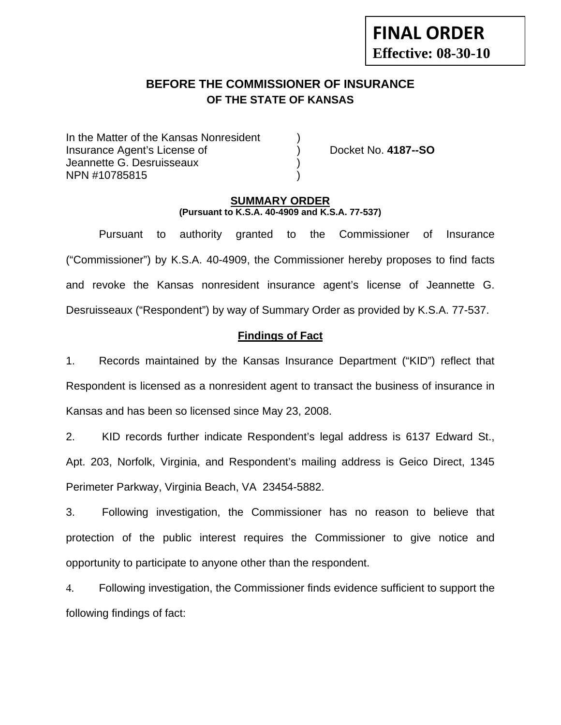# **BEFORE THE COMMISSIONER OF INSURANCE OF THE STATE OF KANSAS**

In the Matter of the Kansas Nonresident Insurance Agent's License of ) Docket No. **4187--SO** Jeannette G. Desruisseaux ) NPN #10785815 )

#### **SUMMARY ORDER (Pursuant to K.S.A. 40-4909 and K.S.A. 77-537)**

 Pursuant to authority granted to the Commissioner of Insurance ("Commissioner") by K.S.A. 40-4909, the Commissioner hereby proposes to find facts and revoke the Kansas nonresident insurance agent's license of Jeannette G. Desruisseaux ("Respondent") by way of Summary Order as provided by K.S.A. 77-537.

## **Findings of Fact**

1. Records maintained by the Kansas Insurance Department ("KID") reflect that Respondent is licensed as a nonresident agent to transact the business of insurance in Kansas and has been so licensed since May 23, 2008.

2. KID records further indicate Respondent's legal address is 6137 Edward St., Apt. 203, Norfolk, Virginia, and Respondent's mailing address is Geico Direct, 1345 Perimeter Parkway, Virginia Beach, VA 23454-5882.

3. Following investigation, the Commissioner has no reason to believe that protection of the public interest requires the Commissioner to give notice and opportunity to participate to anyone other than the respondent.

4. Following investigation, the Commissioner finds evidence sufficient to support the following findings of fact: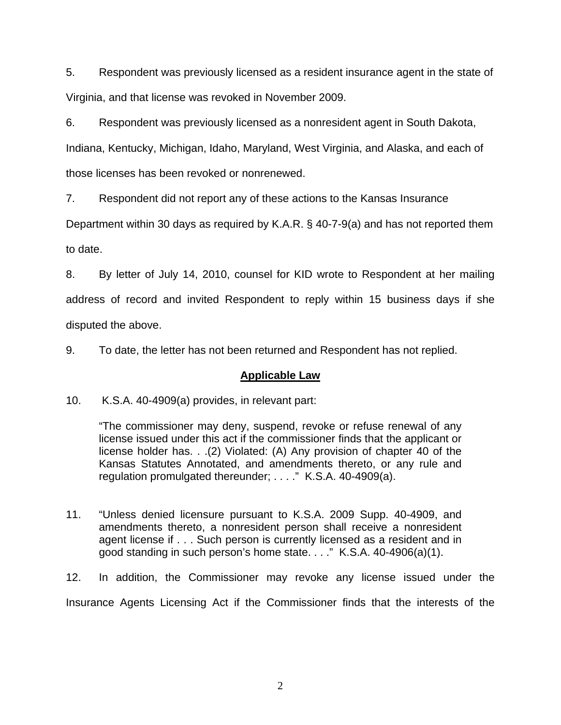5. Respondent was previously licensed as a resident insurance agent in the state of Virginia, and that license was revoked in November 2009.

6. Respondent was previously licensed as a nonresident agent in South Dakota, Indiana, Kentucky, Michigan, Idaho, Maryland, West Virginia, and Alaska, and each of those licenses has been revoked or nonrenewed.

7. Respondent did not report any of these actions to the Kansas Insurance

Department within 30 days as required by K.A.R. § 40-7-9(a) and has not reported them to date.

8. By letter of July 14, 2010, counsel for KID wrote to Respondent at her mailing address of record and invited Respondent to reply within 15 business days if she disputed the above.

9. To date, the letter has not been returned and Respondent has not replied.

## **Applicable Law**

10. K.S.A. 40-4909(a) provides, in relevant part:

"The commissioner may deny, suspend, revoke or refuse renewal of any license issued under this act if the commissioner finds that the applicant or license holder has. . .(2) Violated: (A) Any provision of chapter 40 of the Kansas Statutes Annotated, and amendments thereto, or any rule and regulation promulgated thereunder; . . . ." K.S.A. 40-4909(a).

11. "Unless denied licensure pursuant to K.S.A. 2009 Supp. 40-4909, and amendments thereto, a nonresident person shall receive a nonresident agent license if . . . Such person is currently licensed as a resident and in good standing in such person's home state. . . ." K.S.A. 40-4906(a)(1).

12. In addition, the Commissioner may revoke any license issued under the Insurance Agents Licensing Act if the Commissioner finds that the interests of the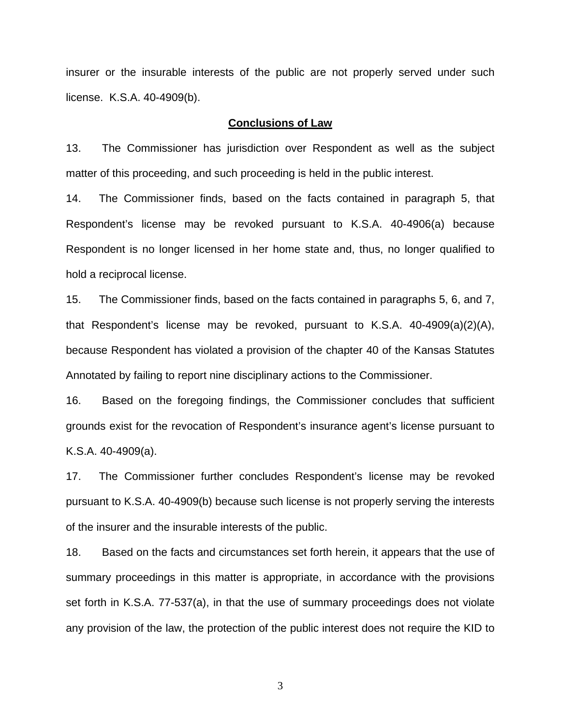insurer or the insurable interests of the public are not properly served under such license. K.S.A. 40-4909(b).

#### **Conclusions of Law**

13. The Commissioner has jurisdiction over Respondent as well as the subject matter of this proceeding, and such proceeding is held in the public interest.

14. The Commissioner finds, based on the facts contained in paragraph 5, that Respondent's license may be revoked pursuant to K.S.A. 40-4906(a) because Respondent is no longer licensed in her home state and, thus, no longer qualified to hold a reciprocal license.

15. The Commissioner finds, based on the facts contained in paragraphs 5, 6, and 7, that Respondent's license may be revoked, pursuant to K.S.A. 40-4909(a)(2)(A), because Respondent has violated a provision of the chapter 40 of the Kansas Statutes Annotated by failing to report nine disciplinary actions to the Commissioner.

16. Based on the foregoing findings, the Commissioner concludes that sufficient grounds exist for the revocation of Respondent's insurance agent's license pursuant to K.S.A. 40-4909(a).

17. The Commissioner further concludes Respondent's license may be revoked pursuant to K.S.A. 40-4909(b) because such license is not properly serving the interests of the insurer and the insurable interests of the public.

18. Based on the facts and circumstances set forth herein, it appears that the use of summary proceedings in this matter is appropriate, in accordance with the provisions set forth in K.S.A. 77-537(a), in that the use of summary proceedings does not violate any provision of the law, the protection of the public interest does not require the KID to

3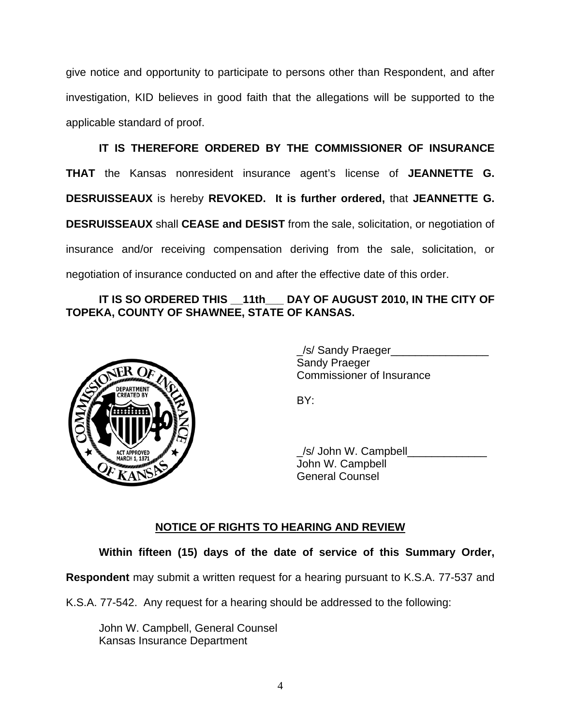give notice and opportunity to participate to persons other than Respondent, and after investigation, KID believes in good faith that the allegations will be supported to the applicable standard of proof.

 **IT IS THEREFORE ORDERED BY THE COMMISSIONER OF INSURANCE THAT** the Kansas nonresident insurance agent's license of **JEANNETTE G. DESRUISSEAUX** is hereby **REVOKED. It is further ordered,** that **JEANNETTE G. DESRUISSEAUX** shall **CEASE and DESIST** from the sale, solicitation, or negotiation of insurance and/or receiving compensation deriving from the sale, solicitation, or negotiation of insurance conducted on and after the effective date of this order.

### IT IS SO ORDERED THIS 11th DAY OF AUGUST 2010, IN THE CITY OF **TOPEKA, COUNTY OF SHAWNEE, STATE OF KANSAS.**



 \_/s/ Sandy Praeger\_\_\_\_\_\_\_\_\_\_\_\_\_\_\_\_ Sandy Praeger Commissioner of Insurance

 \_/s/ John W. Campbell\_\_\_\_\_\_\_\_\_\_\_\_\_ John W. Campbell General Counsel

## **NOTICE OF RIGHTS TO HEARING AND REVIEW**

**Within fifteen (15) days of the date of service of this Summary Order,** 

**Respondent** may submit a written request for a hearing pursuant to K.S.A. 77-537 and

K.S.A. 77-542. Any request for a hearing should be addressed to the following:

 John W. Campbell, General Counsel Kansas Insurance Department